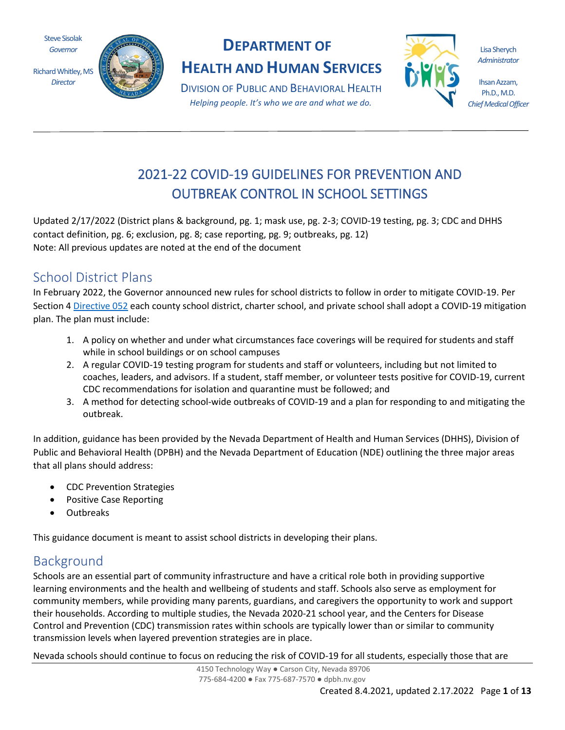Steve Sisolak *Governor*

Richard Whitley, MS *Director*



## **DEPARTMENT OF**

**HEALTH AND HUMAN SERVICES**

DIVISION OF PUBLIC AND BEHAVIORAL HEALTH *Helping people. It's who we are and what we do.*



Lisa Sherych *Administrator*

Ihsan Azzam, Ph.D., M.D. *Chief Medical Officer*

# 2021-22 COVID-19 GUIDELINES FOR PREVENTION AND OUTBREAK CONTROL IN SCHOOL SETTINGS

Updated 2/17/2022 (District plans & background, pg. 1; mask use, pg. 2-3; COVID-19 testing, pg. 3; CDC and DHHS contact definition, pg. 6; exclusion, pg. 8; case reporting, pg. 9; outbreaks, pg. 12) Note: All previous updates are noted at the end of the document

## School District Plans

In February 2022, the Governor announced new rules for school districts to follow in order to mitigate COVID-19. Per Section [4 Directive 052](https://nvhealthresponse.nv.gov/wp-content/uploads/2022/02/2.10.22-Emergency-Directive-052.pdf) each county school district, charter school, and private school shall adopt a COVID-19 mitigation plan. The plan must include:

- 1. A policy on whether and under what circumstances face coverings will be required for students and staff while in school buildings or on school campuses
- 2. A regular COVID-19 testing program for students and staff or volunteers, including but not limited to coaches, leaders, and advisors. If a student, staff member, or volunteer tests positive for COVID-19, current CDC recommendations for isolation and quarantine must be followed; and
- 3. A method for detecting school-wide outbreaks of COVID-19 and a plan for responding to and mitigating the outbreak.

In addition, guidance has been provided by the Nevada Department of Health and Human Services (DHHS), Division of Public and Behavioral Health (DPBH) and the Nevada Department of Education (NDE) outlining the three major areas that all plans should address:

- CDC Prevention Strategies
- Positive Case Reporting
- Outbreaks

This guidance document is meant to assist school districts in developing their plans.

## Background

Schools are an essential part of community infrastructure and have a critical role both in providing supportive learning environments and the health and wellbeing of students and staff. Schools also serve as employment for community members, while providing many parents, guardians, and caregivers the opportunity to work and support their households. According to multiple studies, the Nevada 2020-21 school year, and the Centers for Disease Control and Prevention (CDC) transmission rates within schools are typically lower than or similar to community transmission levels when layered prevention strategies are in place.

Nevada schools should continue to focus on reducing the risk of COVID-19 for all students, especially those that are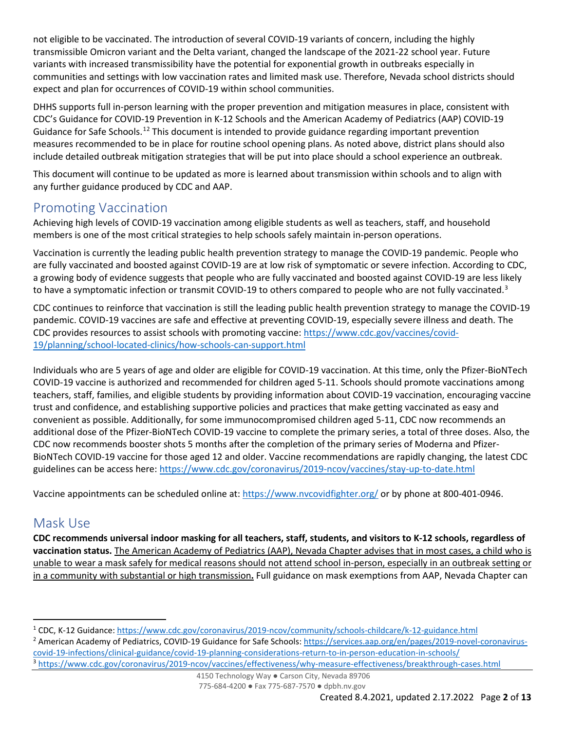not eligible to be vaccinated. The introduction of several COVID-19 variants of concern, including the highly transmissible Omicron variant and the Delta variant, changed the landscape of the 2021-22 school year. Future variants with increased transmissibility have the potential for exponential growth in outbreaks especially in communities and settings with low vaccination rates and limited mask use. Therefore, Nevada school districts should expect and plan for occurrences of COVID-19 within school communities.

DHHS supports full in-person learning with the proper prevention and mitigation measures in place, consistent with CDC's Guidance for COVID-19 Prevention in K-12 Schools and the American Academy of Pediatrics (AAP) COVID-19 Guidance for Safe Schools.<sup>[1](#page-1-0)[2](#page-1-1)</sup> This document is intended to provide guidance regarding important prevention measures recommended to be in place for routine school opening plans. As noted above, district plans should also include detailed outbreak mitigation strategies that will be put into place should a school experience an outbreak.

This document will continue to be updated as more is learned about transmission within schools and to align with any further guidance produced by CDC and AAP.

### Promoting Vaccination

Achieving high levels of COVID-19 vaccination among eligible students as well as teachers, staff, and household members is one of the most critical strategies to help schools safely maintain in-person operations.

Vaccination is currently the leading public health prevention strategy to manage the COVID-19 pandemic. People who are fully vaccinated and boosted against COVID-19 are at low risk of symptomatic or severe infection. According to CDC, a growing body of evidence suggests that people who are fully vaccinated and boosted against COVID-19 are less likely to have a symptomatic infection or transmit COVID-19 to others compared to people who are not fully vaccinated.<sup>[3](#page-1-2)</sup>

CDC continues to reinforce that vaccination is still the leading public health prevention strategy to manage the COVID-19 pandemic. COVID-19 vaccines are safe and effective at preventing COVID-19, especially severe illness and death. The CDC provides resources to assist schools with promoting vaccine: [https://www.cdc.gov/vaccines/covid-](https://www.cdc.gov/vaccines/covid-19/planning/school-located-clinics/how-schools-can-support.html)[19/planning/school-located-clinics/how-schools-can-support.html](https://www.cdc.gov/vaccines/covid-19/planning/school-located-clinics/how-schools-can-support.html)

Individuals who are 5 years of age and older are eligible for COVID-19 vaccination. At this time, only the Pfizer-BioNTech COVID-19 vaccine is authorized and recommended for children aged 5-11. Schools should promote vaccinations among teachers, staff, families, and eligible students by providing information about COVID-19 vaccination, encouraging vaccine trust and confidence, and establishing supportive policies and practices that make getting vaccinated as easy and convenient as possible. Additionally, for some immunocompromised children aged 5-11, CDC now recommends an additional dose of the Pfizer-BioNTech COVID-19 vaccine to complete the primary series, a total of three doses. Also, the CDC now recommends booster shots 5 months after the completion of the primary series of Moderna and Pfizer-BioNTech COVID-19 vaccine for those aged 12 and older. Vaccine recommendations are rapidly changing, the latest CDC guidelines can be access here:<https://www.cdc.gov/coronavirus/2019-ncov/vaccines/stay-up-to-date.html>

Vaccine appointments can be scheduled online at:<https://www.nvcovidfighter.org/> or by phone at 800-401-0946.

### Mask Use

**CDC recommends universal indoor masking for all teachers, staff, students, and visitors to K-12 schools, regardless of vaccination status.** The American Academy of Pediatrics (AAP), Nevada Chapter advises that in most cases, a child who is unable to wear a mask safely for medical reasons should not attend school in-person, especially in an outbreak setting or in a community with substantial or high transmission**.** Full guidance on mask exemptions from AAP, Nevada Chapter can

<span id="page-1-1"></span><sup>2</sup> American Academy of Pediatrics, COVID-19 Guidance for Safe Schools: [https://services.aap.org/en/pages/2019-novel-coronavirus](https://services.aap.org/en/pages/2019-novel-coronavirus-covid-19-infections/clinical-guidance/covid-19-planning-considerations-return-to-in-person-education-in-schools/)[covid-19-infections/clinical-guidance/covid-19-planning-considerations-return-to-in-person-education-in-schools/](https://services.aap.org/en/pages/2019-novel-coronavirus-covid-19-infections/clinical-guidance/covid-19-planning-considerations-return-to-in-person-education-in-schools/)

<span id="page-1-2"></span><sup>3</sup> <https://www.cdc.gov/coronavirus/2019-ncov/vaccines/effectiveness/why-measure-effectiveness/breakthrough-cases.html>

4150 Technology Way ● Carson City, Nevada 89706 775-684-4200 ● Fax 775-687-7570 ● dpbh.nv.gov

<span id="page-1-0"></span><sup>1</sup> CDC, K-12 Guidance:<https://www.cdc.gov/coronavirus/2019-ncov/community/schools-childcare/k-12-guidance.html>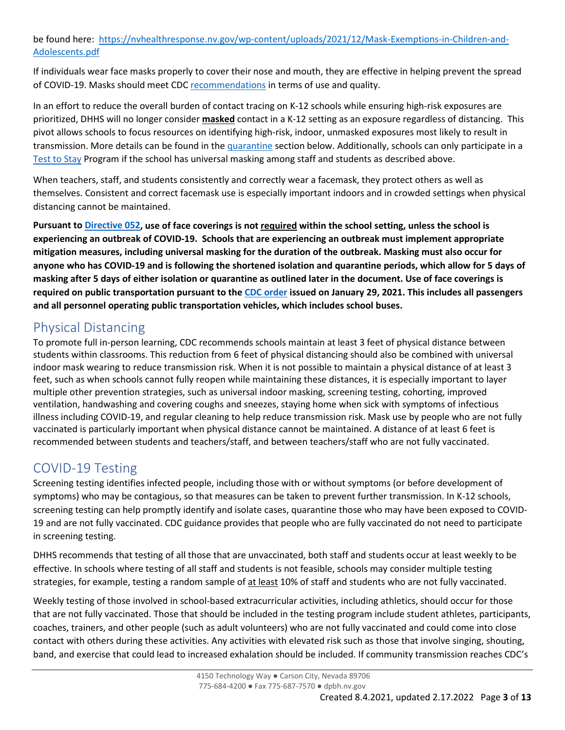be found here: [https://nvhealthresponse.nv.gov/wp-content/uploads/2021/12/Mask-](https://nvhealthresponse.nv.gov/wp-content/uploads/2021/12/Mask-Exemptions-in-Children-and-Adolescents.pdf)Exemptions-in-Children-and-[Adolescents.pdf](https://nvhealthresponse.nv.gov/wp-content/uploads/2021/12/Mask-Exemptions-in-Children-and-Adolescents.pdf) 

If individuals wear face masks properly to cover their nose and mouth, they are effective in helping prevent the spread of COVID-19. Masks should meet CD[C recommendations](https://www.cdc.gov/coronavirus/2019-ncov/prevent-getting-sick/about-face-coverings.html) in terms of use and quality.

In an effort to reduce the overall burden of contact tracing on K-12 schools while ensuring high-risk exposures are prioritized, DHHS will no longer consider **masked** contact in a K-12 setting as an exposure regardless of distancing. This pivot allows schools to focus resources on identifying high-risk, indoor, unmasked exposures most likely to result in transmission. More details can be found in the [quarantine](#page-4-0) section below. Additionally, schools can only participate in a [Test to Stay](#page-9-0) Program if the school has universal masking among staff and students as described above.

When teachers, staff, and students consistently and correctly wear a facemask, they protect others as well as themselves. Consistent and correct facemask use is especially important indoors and in crowded settings when physical distancing cannot be maintained.

**Pursuant to [Directive 052,](https://nvhealthresponse.nv.gov/wp-content/uploads/2022/02/2.10.22-Removal-of-Masks.pdf) use of face coverings is not required within the school setting, unless the school is experiencing an outbreak of COVID-19. Schools that are experiencing an outbreak must implement appropriate mitigation measures, including universal masking for the duration of the outbreak. Masking must also occur for anyone who has COVID-19 and is following the shortened isolation and quarantine periods, which allow for 5 days of masking after 5 days of either isolation or quarantine as outlined later in the document. Use of face coverings is required on public transportation pursuant to the [CDC order](https://www.cdc.gov/quarantine/masks/mask-travel-guidance.html) issued on January 29, 2021. This includes all passengers and all personnel operating public transportation vehicles, which includes school buses.** 

## Physical Distancing

To promote full in-person learning, CDC recommends schools maintain at least 3 feet of physical distance between students within classrooms. This reduction from 6 feet of physical distancing should also be combined with universal indoor mask wearing to reduce transmission risk. When it is not possible to maintain a physical distance of at least 3 feet, such as when schools cannot fully reopen while maintaining these distances, it is especially important to layer multiple other prevention strategies, such as universal indoor masking, screening testing, cohorting, improved ventilation, handwashing and covering coughs and sneezes, staying home when sick with symptoms of infectious illness including COVID-19, and regular cleaning to help reduce transmission risk. Mask use by people who are not fully vaccinated is particularly important when physical distance cannot be maintained. A distance of at least 6 feet is recommended between students and teachers/staff, and between teachers/staff who are not fully vaccinated.

## COVID-19 Testing

Screening testing identifies infected people, including those with or without symptoms (or before development of symptoms) who may be contagious, so that measures can be taken to prevent further transmission. In K-12 schools, screening testing can help promptly identify and isolate cases, quarantine those who may have been exposed to COVID-19 and are not fully vaccinated. CDC guidance provides that people who are fully vaccinated do not need to participate in screening testing.

DHHS recommends that testing of all those that are unvaccinated, both staff and students occur at least weekly to be effective. In schools where testing of all staff and students is not feasible, schools may consider multiple testing strategies, for example, testing a random sample of at least 10% of staff and students who are not fully vaccinated.

Weekly testing of those involved in school-based extracurricular activities, including athletics, should occur for those that are not fully vaccinated. Those that should be included in the testing program include student athletes, participants, coaches, trainers, and other people (such as adult volunteers) who are not fully vaccinated and could come into close contact with others during these activities. Any activities with elevated risk such as those that involve singing, shouting, band, and exercise that could lead to increased exhalation should be included. If community transmission reaches CDC's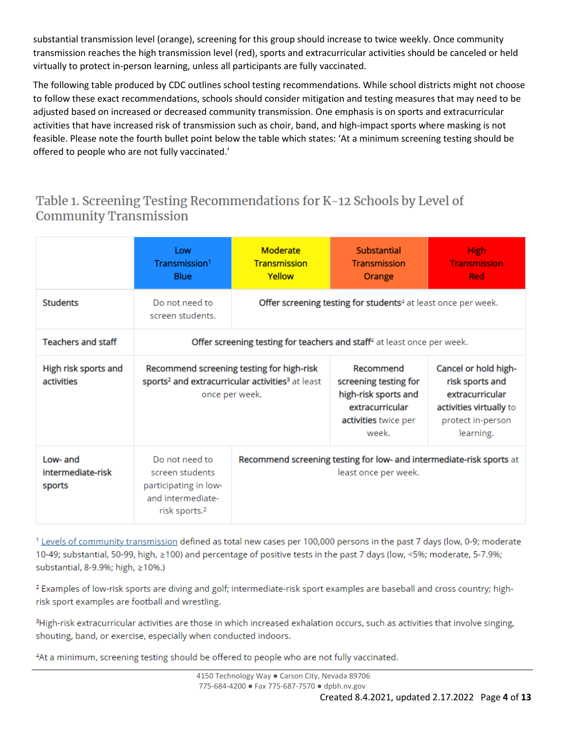substantial transmission level (orange), screening for this group should increase to twice weekly. Once community transmission reaches the high transmission level (red), sports and extracurricular activities should be canceled or held virtually to protect in-person learning, unless all participants are fully vaccinated.

The following table produced by CDC outlines school testing recommendations. While school districts might not choose to follow these exact recommendations, schools should consider mitigation and testing measures that may need to be adjusted based on increased or decreased community transmission. One emphasis is on sports and extracurricular activities that have increased risk of transmission such as choir, band, and high-impact sports where masking is not feasible. Please note the fourth bullet point below the table which states: 'At a minimum screening testing should be offered to people who are not fully vaccinated.'

## Table 1. Screening Testing Recommendations for K-12 Schools by Level of **Community Transmission**

|                                         | Low<br>Transmission <sup>1</sup><br><b>Blue</b>                                                                                         | Moderate<br><b>Transmission</b><br>Yellow                                                    | <b>Substantial</b><br><b>Transmission</b><br>Orange                                                            | <b>High</b><br><b>Transmission</b><br><b>Red</b>                                                                        |  |  |
|-----------------------------------------|-----------------------------------------------------------------------------------------------------------------------------------------|----------------------------------------------------------------------------------------------|----------------------------------------------------------------------------------------------------------------|-------------------------------------------------------------------------------------------------------------------------|--|--|
| <b>Students</b>                         | Do not need to<br>screen students.                                                                                                      | Offer screening testing for students <sup>4</sup> at least once per week.                    |                                                                                                                |                                                                                                                         |  |  |
| <b>Teachers and staff</b>               | Offer screening testing for teachers and staff <sup>4</sup> at least once per week.                                                     |                                                                                              |                                                                                                                |                                                                                                                         |  |  |
| High risk sports and<br>activities      | Recommend screening testing for high-risk<br>sports <sup>2</sup> and extracurricular activities <sup>3</sup> at least<br>once per week. |                                                                                              | Recommend<br>screening testing for<br>high-risk sports and<br>extracurricular<br>activities twice per<br>week. | Cancel or hold high-<br>risk sports and<br>extracurricular<br>activities virtually to<br>protect in-person<br>learning. |  |  |
| Low- and<br>intermediate-risk<br>sports | Do not need to<br>screen students<br>participating in low-<br>and intermediate-<br>risk sports. <sup>2</sup>                            | Recommend screening testing for low- and intermediate-risk sports at<br>least once per week. |                                                                                                                |                                                                                                                         |  |  |

<sup>1</sup> Levels of community transmission defined as total new cases per 100,000 persons in the past 7 days (low, 0-9; moderate 10-49; substantial, 50-99, high, ≥100) and percentage of positive tests in the past 7 days (low, <5%; moderate, 5-7.9%; substantial, 8-9.9%; high, ≥10%.)

<sup>2</sup> Examples of low-risk sports are diving and golf; intermediate-risk sport examples are baseball and cross country; highrisk sport examples are football and wrestling.

<sup>3</sup>High-risk extracurricular activities are those in which increased exhalation occurs, such as activities that involve singing, shouting, band, or exercise, especially when conducted indoors.

4At a minimum, screening testing should be offered to people who are not fully vaccinated.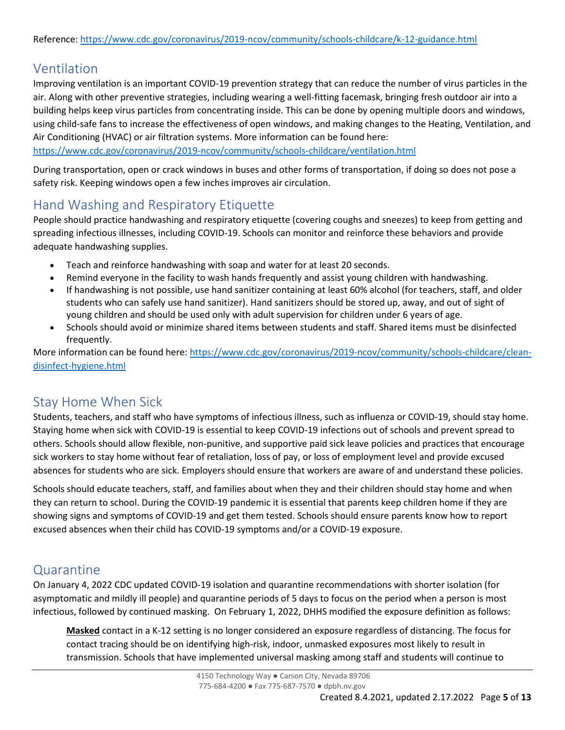## Ventilation

Improving ventilation is an important COVID-19 prevention strategy that can reduce the number of virus particles in the air. Along with other preventive strategies, including wearing a well-fitting facemask, bringing fresh outdoor air into a building helps keep virus particles from concentrating inside. This can be done by opening multiple doors and windows, using child-safe fans to increase the effectiveness of open windows, and making changes to the Heating, Ventilation, and Air Conditioning (HVAC) or air filtration systems. More information can be found here:

<https://www.cdc.gov/coronavirus/2019-ncov/community/schools-childcare/ventilation.html>

During transportation, open or crack windows in buses and other forms of transportation, if doing so does not pose a safety risk. Keeping windows open a few inches improves air circulation.

## Hand Washing and Respiratory Etiquette

People should practice handwashing and respiratory etiquette (covering coughs and sneezes) to keep from getting and spreading infectious illnesses, including COVID-19. Schools can monitor and reinforce these behaviors and provide adequate handwashing supplies.

- Teach and reinforce handwashing with soap and water for at least 20 seconds.
- Remind everyone in the facility to wash hands frequently and assist young children with handwashing.
- If handwashing is not possible, use hand sanitizer containing at least 60% alcohol (for teachers, staff, and older students who can safely use hand sanitizer). Hand sanitizers should be stored up, away, and out of sight of young children and should be used only with adult supervision for children under 6 years of age.
- Schools should avoid or minimize shared items between students and staff. Shared items must be disinfected frequently.

More information can be found here[: https://www.cdc.gov/coronavirus/2019-ncov/community/schools-childcare/clean](https://www.cdc.gov/coronavirus/2019-ncov/community/schools-childcare/clean-disinfect-hygiene.html)[disinfect-hygiene.html](https://www.cdc.gov/coronavirus/2019-ncov/community/schools-childcare/clean-disinfect-hygiene.html)

### Stay Home When Sick

Students, teachers, and staff who have symptoms of infectious illness, such as influenza or COVID-19, should stay home. Staying home when sick with COVID-19 is essential to keep COVID-19 infections out of schools and prevent spread to others. Schools should allow flexible, non-punitive, and supportive paid sick leave policies and practices that encourage sick workers to stay home without fear of retaliation, loss of pay, or loss of employment level and provide excused absences for students who are sick. Employers should ensure that workers are aware of and understand these policies.

Schools should educate teachers, staff, and families about when they and their children should stay home and when they can return to school. During the COVID-19 pandemic it is essential that parents keep children home if they are showing signs and symptoms of COVID-19 and get them tested. Schools should ensure parents know how to report excused absences when their child has COVID-19 symptoms and/or a COVID-19 exposure.

### <span id="page-4-0"></span>Quarantine

On January 4, 2022 CDC updated [COVID-19 isolation and quarantine recommendations](https://www.cdc.gov/coronavirus/2019-ncov/your-health/quarantine-isolation.html) with shorter isolation (for asymptomatic and mildly ill people) and quarantine periods of 5 days to focus on the period when a person is most infectious, followed by continued masking. On February 1, 2022, DHHS modified the exposure definition as follows:

**Masked** contact in a K-12 setting is no longer considered an exposure regardless of distancing. The focus for contact tracing should be on identifying high-risk, indoor, unmasked exposures most likely to result in transmission. Schools that have implemented universal masking among staff and students will continue to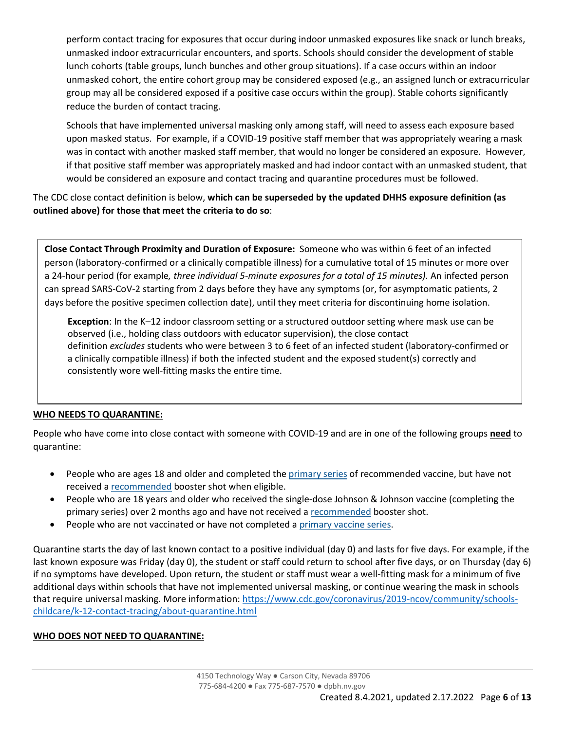perform contact tracing for exposures that occur during indoor unmasked exposures like snack or lunch breaks, unmasked indoor extracurricular encounters, and sports. Schools should consider the development of stable lunch cohorts (table groups, lunch bunches and other group situations). If a case occurs within an indoor unmasked cohort, the entire cohort group may be considered exposed (e.g., an assigned lunch or extracurricular group may all be considered exposed if a positive case occurs within the group). Stable cohorts significantly reduce the burden of contact tracing.

Schools that have implemented universal masking only among staff, will need to assess each exposure based upon masked status. For example, if a COVID-19 positive staff member that was appropriately wearing a mask was in contact with another masked staff member, that would no longer be considered an exposure. However, if that positive staff member was appropriately masked and had indoor contact with an unmasked student, that would be considered an exposure and contact tracing and quarantine procedures must be followed.

The CDC close contact definition is below, **which can be superseded by the updated DHHS exposure definition (as outlined above) for those that meet the criteria to do so**:

**Close Contact Through Proximity and Duration of Exposure:** Someone who was within 6 feet of an infected person (laboratory-confirmed or a clinically compatible illness) for a cumulative total of 15 minutes or more over a 24-hour period (for example*, three individual 5-minute exposures for a total of 15 minutes).* An infected person can spread SARS-CoV-2 starting from 2 days before they have any symptoms (or, for asymptomatic patients, 2 days before the positive specimen collection date), until they meet criteria for discontinuing home isolation.

**Exception**: In the K–12 indoor classroom setting or a structured outdoor setting where mask use can be observed (i.e., holding class outdoors with educator supervision), the close contact definition *excludes* students who were between 3 to 6 feet of an infected student (laboratory-confirmed or a clinically compatible illness) if both the infected student and the exposed student(s) correctly and consistently wore well-fitting masks the entire time.

#### **WHO NEEDS TO QUARANTINE:**

People who have come into close contact with someone with COVID-19 and are in one of the following groups **need** to quarantine:

- People who are ages 18 and older and completed the *[primary series](https://www.cdc.gov/coronavirus/2019-ncov/vaccines/stay-up-to-date.html)* of recommended vaccine, but have not received a [recommended](https://www.cdc.gov/coronavirus/2019-ncov/vaccines/booster-shot.html) booster shot when eligible.
- People who are 18 years and older who received the single-dose Johnson & Johnson vaccine (completing the primary series) over 2 months ago and have not received a [recommended](https://www.cdc.gov/coronavirus/2019-ncov/vaccines/booster-shot.html) booster shot.
- People who are not vaccinated or have not completed a [primary vaccine series.](https://www.cdc.gov/coronavirus/2019-ncov/vaccines/stay-up-to-date.html)

Quarantine starts the day of last known contact to a positive individual (day 0) and lasts for five days. For example, if the last known exposure was Friday (day 0), the student or staff could return to school after five days, or on Thursday (day 6) if no symptoms have developed. Upon return, the student or staff must wear a well-fitting mask for a minimum of five additional days within schools that have not implemented universal masking, or continue wearing the mask in schools that require universal masking. More information[: https://www.cdc.gov/coronavirus/2019-ncov/community/schools](https://www.cdc.gov/coronavirus/2019-ncov/community/schools-childcare/k-12-contact-tracing/about-quarantine.html)[childcare/k-12-contact-tracing/about-quarantine.html](https://www.cdc.gov/coronavirus/2019-ncov/community/schools-childcare/k-12-contact-tracing/about-quarantine.html)

#### **WHO DOES NOT NEED TO QUARANTINE:**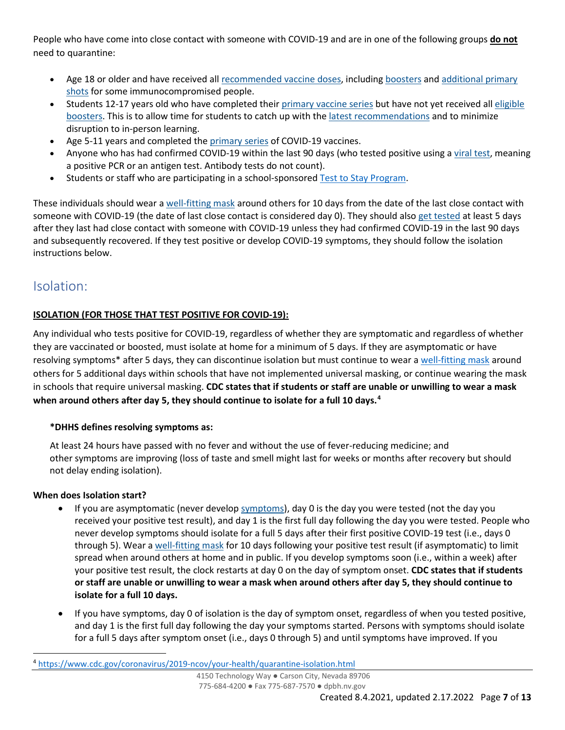People who have come into close contact with someone with COVID-19 and are in one of the following groups **do not**  need to quarantine:

- Age 18 or older and have received all [recommended vaccine doses,](https://www.cdc.gov/coronavirus/2019-ncov/vaccines/booster-shot.html) including [boosters](https://www.cdc.gov/coronavirus/2019-ncov/vaccines/booster-shot.html) and [additional primary](https://www.cdc.gov/coronavirus/2019-ncov/vaccines/recommendations/immuno.html)  [shots](https://www.cdc.gov/coronavirus/2019-ncov/vaccines/recommendations/immuno.html) for some immunocompromised people.
- Students 12-17 years old who have completed their [primary vaccine series](https://www.cdc.gov/vaccines/covid-19/clinical-considerations/covid-19-vaccines-us.html?CDC_AA_refVal=https%3A%2F%2Fwww.cdc.gov%2Fvaccines%2Fcovid-19%2Finfo-by-product%2Fclinical-considerations.html#children) but have not yet received all [eligible](https://www.cdc.gov/coronavirus/2019-ncov/vaccines/stay-up-to-date.html)  [boosters.](https://www.cdc.gov/coronavirus/2019-ncov/vaccines/stay-up-to-date.html) This is to allow time for students to catch up with the [latest recommendations](https://www.cdc.gov/coronavirus/2019-ncov/vaccines/stay-up-to-date.html) and to minimize disruption to in-person learning.
- Age 5-11 years and completed the [primary series](https://www.cdc.gov/vaccines/covid-19/clinical-considerations/covid-19-vaccines-us.html?CDC_AA_refVal=https%3A%2F%2Fwww.cdc.gov%2Fvaccines%2Fcovid-19%2Finfo-by-product%2Fclinical-considerations.html#children) of COVID-19 vaccines.
- Anyone who has had confirmed COVID-19 within the last 90 days (who tested positive using a [viral test,](https://www.cdc.gov/coronavirus/2019-ncov/symptoms-testing/testing.html) meaning a positive PCR or an antigen test. Antibody tests do not count).
- Students or staff who are participating in a school-sponsore[d Test to Stay Program.](#page-7-0)

These individuals should wear a [well-fitting mask](https://www.cdc.gov/coronavirus/2019-ncov/your-health/effective-masks.html) around others for 10 days from the date of the last close contact with someone with COVID-19 (the date of last close contact is considered day 0). They should also [get tested](https://www.cdc.gov/coronavirus/2019-ncov/testing/diagnostic-testing.html) at least 5 days after they last had close contact with someone with COVID-19 unless they had confirmed COVID-19 in the last 90 days and subsequently recovered. If they test positive or develop COVID-19 symptoms, they should follow the isolation instructions below.

## Isolation:

#### <span id="page-6-1"></span>**ISOLATION (FOR THOSE THAT TEST POSITIVE FOR COVID-19):**

Any individual who tests positive for COVID-19, regardless of whether they are symptomatic and regardless of whether they are vaccinated or boosted, must isolate at home for a minimum of 5 days. If they are asymptomatic or have resolving symptoms\* after 5 days, they can discontinue isolation but must continue to wear a [well-fitting mask](https://www.cdc.gov/coronavirus/2019-ncov/prevent-getting-sick/about-face-coverings.html) around others for 5 additional days within schools that have not implemented universal masking, or continue wearing the mask in schools that require universal masking. **CDC states that if students or staff are unable or unwilling to wear a mask when around others after day 5, they should continue to isolate for a full 10 days.[4](#page-6-0)**

#### **\*DHHS defines resolving symptoms as:**

At least 24 hours have passed with no fever and without the use of fever-reducing medicine; and other symptoms are improving (loss of taste and smell might last for weeks or months after recovery but should not delay ending isolation).

#### **When does Isolation start?**

- If you are asymptomatic (never develop [symptoms](https://www.cdc.gov/coronavirus/2019-ncov/symptoms-testing/symptoms.html)), day 0 is the day you were tested (not the day you received your positive test result), and day 1 is the first full day following the day you were tested. People who never develop symptoms should isolate for a full 5 days after their first positive COVID-19 test (i.e., days 0 through 5). Wear a [well-fitting mask](https://www.cdc.gov/coronavirus/2019-ncov/prevent-getting-sick/about-face-coverings.html) for 10 days following your positive test result (if asymptomatic) to limit spread when around others at home and in public. If you develop symptoms soon (i.e., within a week) after your positive test result, the clock restarts at day 0 on the day of symptom onset. **CDC states that if students or staff are unable or unwilling to wear a mask when around others after day 5, they should continue to isolate for a full 10 days.**
- If you have symptoms, day 0 of isolation is the day of symptom onset, regardless of when you tested positive, and day 1 is the first full day following the day your symptoms started. Persons with symptoms should isolate for a full 5 days after symptom onset (i.e., days 0 through 5) and until symptoms have improved. If you

<span id="page-6-0"></span><sup>4</sup> <https://www.cdc.gov/coronavirus/2019-ncov/your-health/quarantine-isolation.html>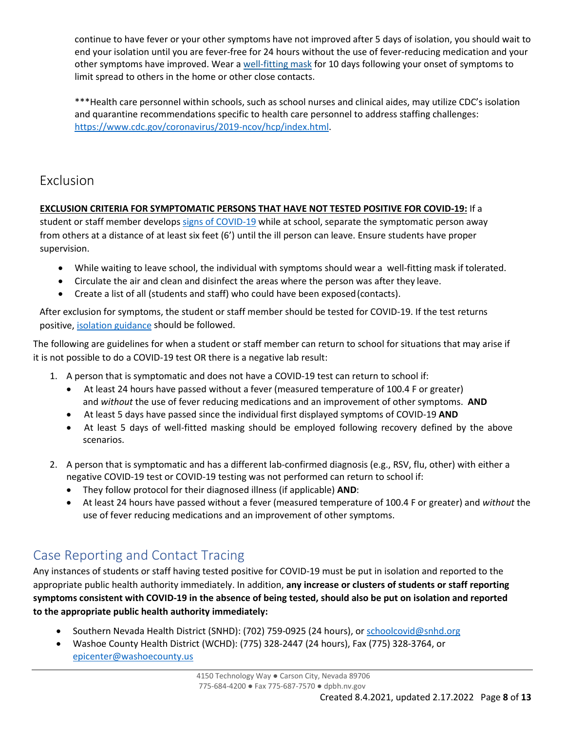continue to have fever or your other symptoms have not improved after 5 days of isolation, you should wait to end your isolation until you are fever-free for 24 hours without the use of fever-reducing medication and your other symptoms have improved. Wear a [well-fitting mask](https://www.cdc.gov/coronavirus/2019-ncov/prevent-getting-sick/about-face-coverings.html) for 10 days following your onset of symptoms to limit spread to others in the home or other close contacts.

\*\*\*Health care personnel within schools, such as school nurses and clinical aides, may utilize CDC's isolation and quarantine recommendations specific to health care personnel to address staffing challenges: [https://www.cdc.gov/coronavirus/2019-](https://www.cdc.gov/coronavirus/2019-ncov/hcp/index.html)ncov/hcp/index.html.

### Exclusion

#### **EXCLUSION CRITERIA FOR SYMPTOMATIC PERSONS THAT HAVE NOT TESTED POSITIVE FOR COVID-19:** If a

student or staff member develops [signs of COVID-19](#page-8-0) while at school, separate the symptomatic person away from others at a distance of at least six feet (6') until the ill person can leave. Ensure students have proper supervision.

- While waiting to leave school, the individual with symptoms should wear a well-fitting mask if tolerated.
- Circulate the air and clean and disinfect the areas where the person was after they leave.
- Create a list of all (students and staff) who could have been exposed (contacts).

After exclusion for symptoms, the student or staff member should be tested for COVID-19. If the test returns positive, [isolation guidance](#page-6-1) should be followed.

The following are guidelines for when a student or staff member can return to school for situations that may arise if it is not possible to do a COVID-19 test OR there is a negative lab result:

- 1. A person that is symptomatic and does not have a COVID-19 test can return to school if:
	- At least 24 hours have passed without a fever (measured temperature of 100.4 F or greater) and *without* the use of fever reducing medications and an improvement of other symptoms. **AND**
	- At least 5 days have passed since the individual first displayed symptoms of COVID-19 **AND**
	- At least 5 days of well-fitted masking should be employed following recovery defined by the above scenarios.
- 2. A person that is symptomatic and has a different lab-confirmed diagnosis (e.g., RSV, flu, other) with either a negative COVID-19 test or COVID-19 testing was not performed can return to school if:
	- They follow protocol for their diagnosed illness (if applicable) **AND**:
	- At least 24 hours have passed without a fever (measured temperature of 100.4 F or greater) and *without* the use of fever reducing medications and an improvement of other symptoms.

## <span id="page-7-0"></span>Case Reporting and Contact Tracing

Any instances of students or staff having tested positive for COVID-19 must be put in isolation and reported to the appropriate public health authority immediately. In addition, **any increase or clusters of students or staff reporting symptoms consistent with COVID-19 in the absence of being tested, should also be put on isolation and reported to the appropriate public health authority immediately:**

- Southern Nevada Health District (SNHD): (702) 759-0925 (24 hours), or [schoolcovid@snhd.org](mailto:schoolcovid@snhd.org)
- Washoe County Health District (WCHD): (775) 328-2447 (24 hours), Fax (775) 328-3764, or [epicenter@washoecounty.us](mailto:epicenter@washoecounty.us)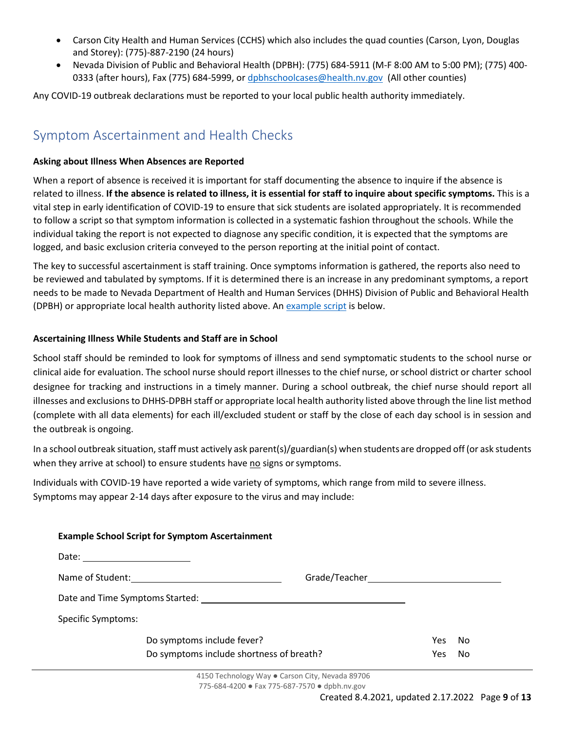- Carson City Health and Human Services (CCHS) which also includes the quad counties (Carson, Lyon, Douglas and Storey): (775)-887-2190 (24 hours)
- Nevada Division of Public and Behavioral Health (DPBH): (775) 684-5911 (M-F 8:00 AM to 5:00 PM); (775) 400- 0333 (after hours), Fax (775) 684-5999, o[r dpbhschoolcases@health.nv.gov](mailto:dpbhschoolcases@health.nv.gov) (All other counties)

Any COVID-19 outbreak declarations must be reported to your local public health authority immediately.

## Symptom Ascertainment and Health Checks

#### **Asking about Illness When Absences are Reported**

When a report of absence is received it is important for staff documenting the absence to inquire if the absence is related to illness. **If the absence is related to illness, it is essential for staff to inquire about specific symptoms.** This is a vital step in early identification of COVID-19 to ensure that sick students are isolated appropriately. It is recommended to follow a script so that symptom information is collected in a systematic fashion throughout the schools. While the individual taking the report is not expected to diagnose any specific condition, it is expected that the symptoms are logged, and basic exclusion criteria conveyed to the person reporting at the initial point of contact.

The key to successful ascertainment is staff training. Once symptoms information is gathered, the reports also need to be reviewed and tabulated by symptoms. If it is determined there is an increase in any predominant symptoms, a report needs to be made to Nevada Department of Health and Human Services (DHHS) Division of Public and Behavioral Health (DPBH) or appropriate local health authority listed above. An [example script](#page-8-0) is below.

#### **Ascertaining Illness While Students and Staff are in School**

School staff should be reminded to look for symptoms of illness and send symptomatic students to the school nurse or clinical aide for evaluation. The school nurse should report illnesses to the chief nurse, or school district or charter school designee for tracking and instructions in a timely manner. During a school outbreak, the chief nurse should report all illnesses and exclusions to DHHS-DPBH staff or appropriate local health authority listed above through the line list method (complete with all data elements) for each ill/excluded student or staff by the close of each day school is in session and the outbreak is ongoing.

In a school outbreak situation, staff must actively ask parent(s)/guardian(s) when students are dropped off (or ask students when they arrive at school) to ensure students have no signs or symptoms.

Individuals with COVID-19 have reported a wide variety of symptoms, which range from mild to severe illness. Symptoms may appear 2-14 days after exposure to the virus and may include:

<span id="page-8-0"></span>

| <b>Example School Script for Symptom Ascertainment</b>                                       |      |    |
|----------------------------------------------------------------------------------------------|------|----|
|                                                                                              |      |    |
| Name of Student: <u>____________________________</u>                                         |      |    |
| Date and Time Symptoms Started: Name of the Started of the Symptoms of the Symptoms Started: |      |    |
| <b>Specific Symptoms:</b>                                                                    |      |    |
| Do symptoms include fever?                                                                   | Yes. | No |
| Do symptoms include shortness of breath?                                                     | Yes. | No |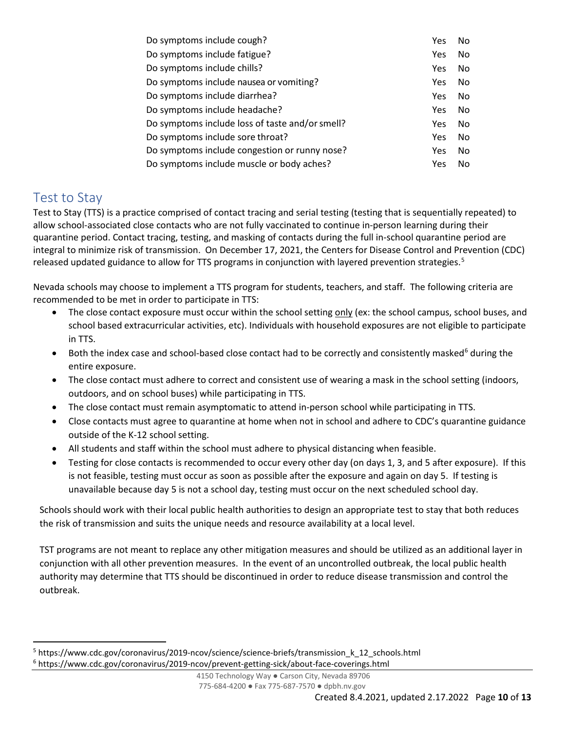| Do symptoms include cough?                      | Yes | No |
|-------------------------------------------------|-----|----|
| Do symptoms include fatigue?                    | Yes | No |
| Do symptoms include chills?                     | Yes | No |
| Do symptoms include nausea or vomiting?         | Yes | No |
| Do symptoms include diarrhea?                   | Yes | No |
| Do symptoms include headache?                   | Yes | No |
| Do symptoms include loss of taste and/or smell? | Yes | No |
| Do symptoms include sore throat?                | Yes | No |
| Do symptoms include congestion or runny nose?   | Yes | No |
| Do symptoms include muscle or body aches?       | Yes | No |

### <span id="page-9-0"></span>Test to Stay

Test to Stay (TTS) is a practice comprised of contact tracing and serial testing (testing that is sequentially repeated) to allow school-associated close contacts who are not fully vaccinated to continue in-person learning during their quarantine period. Contact tracing, testing, and masking of contacts during the full in-school quarantine period are integral to minimize risk of transmission. On December 17, 2021, the Centers for Disease Control and Prevention (CDC) released updated guidance to allow for TTS programs in conjunction with layered prevention strategies.<sup>[5](#page-9-1)</sup>

Nevada schools may choose to implement a TTS program for students, teachers, and staff. The following criteria are recommended to be met in order to participate in TTS:

- The close contact exposure must occur within the school setting only (ex: the school campus, school buses, and school based extracurricular activities, etc). Individuals with household exposures are not eligible to participate in TTS.
- Both the index case and school-based close contact had to be correctly and consistently masked<sup>[6](#page-9-2)</sup> during the entire exposure.
- The close contact must adhere to correct and consistent use of wearing a mask in the school setting (indoors, outdoors, and on school buses) while participating in TTS.
- The close contact must remain asymptomatic to attend in-person school while participating in TTS.
- Close contacts must agree to quarantine at home when not in school and adhere to CDC's quarantine guidance outside of the K-12 school setting.
- All students and staff within the school must adhere to physical distancing when feasible.
- Testing for close contacts is recommended to occur every other day (on days 1, 3, and 5 after exposure). If this is not feasible, testing must occur as soon as possible after the exposure and again on day 5. If testing is unavailable because day 5 is not a school day, testing must occur on the next scheduled school day.

Schools should work with their local public health authorities to design an appropriate test to stay that both reduces the risk of transmission and suits the unique needs and resource availability at a local level.

TST programs are not meant to replace any other mitigation measures and should be utilized as an additional layer in conjunction with all other prevention measures. In the event of an uncontrolled outbreak, the local public health authority may determine that TTS should be discontinued in order to reduce disease transmission and control the outbreak.

<span id="page-9-2"></span><span id="page-9-1"></span><sup>5</sup> https://www.cdc.gov/coronavirus/2019-ncov/science/science-briefs/transmission\_k\_12\_schools.html <sup>6</sup> https://www.cdc.gov/coronavirus/2019-ncov/prevent-getting-sick/about-face-coverings.html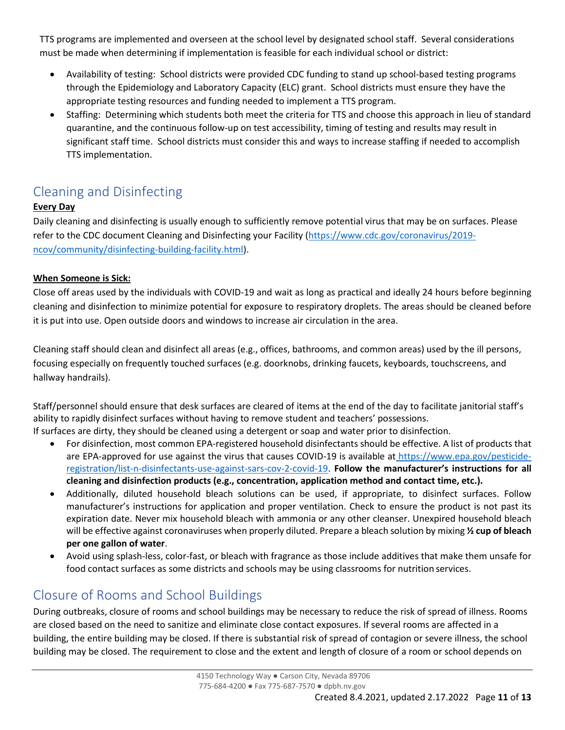TTS programs are implemented and overseen at the school level by designated school staff. Several considerations must be made when determining if implementation is feasible for each individual school or district:

- Availability of testing: School districts were provided CDC funding to stand up school-based testing programs through the Epidemiology and Laboratory Capacity (ELC) grant. School districts must ensure they have the appropriate testing resources and funding needed to implement a TTS program.
- Staffing: Determining which students both meet the criteria for TTS and choose this approach in lieu of standard quarantine, and the continuous follow-up on test accessibility, timing of testing and results may result in significant staff time. School districts must consider this and ways to increase staffing if needed to accomplish TTS implementation.

# Cleaning and Disinfecting

#### **Every Day**

Daily cleaning and disinfecting is usually enough to sufficiently remove potential virus that may be on surfaces. Please refer to the CDC document Cleaning and Disinfecting your Facility ([https://www.cdc.gov/coronavirus/2019](https://www.cdc.gov/coronavirus/2019-ncov/community/disinfecting-building-facility.html) [ncov/community/disinfecting-building-facility.html](https://www.cdc.gov/coronavirus/2019-ncov/community/disinfecting-building-facility.html)).

#### **When Someone is Sick:**

Close off areas used by the individuals with COVID-19 and wait as long as practical and ideally 24 hours before beginning cleaning and disinfection to minimize potential for exposure to respiratory droplets. The areas should be cleaned before it is put into use. Open outside doors and windows to increase air circulation in the area.

Cleaning staff should clean and disinfect all areas (e.g., offices, bathrooms, and common areas) used by the ill persons, focusing especially on frequently touched surfaces (e.g. doorknobs, drinking faucets, keyboards, touchscreens, and hallway handrails).

Staff/personnel should ensure that desk surfaces are cleared of items at the end of the day to facilitate janitorial staff's ability to rapidly disinfect surfaces without having to remove student and teachers' possessions. If surfaces are dirty, they should be cleaned using a detergent or soap and water prior to disinfection.

- For disinfection, most common EPA-registered household disinfectants should be effective. A list of products that are EPA-approved for use against the virus that causes COVID-19 is available at [https://www.epa.gov/pesticide](https://www.epa.gov/pesticide-registration/list-n-disinfectants-use-against-sars-cov-2-covid-19)[registration/list-n-disinfectants-use-against-sars-cov-2-covid-19.](https://www.epa.gov/pesticide-registration/list-n-disinfectants-use-against-sars-cov-2-covid-19) **Follow the manufacturer's instructions for all cleaning and disinfection products (e.g., concentration, application method and contact time, etc.).**
- Additionally, diluted household bleach solutions can be used, if appropriate, to disinfect surfaces. Follow manufacturer's instructions for application and proper ventilation. Check to ensure the product is not past its expiration date. Never mix household bleach with ammonia or any other cleanser. Unexpired household bleach will be effective against coronaviruses when properly diluted. Prepare a bleach solution by mixing **½ cup of bleach per one gallon of water**.
- Avoid using splash-less, color-fast, or bleach with fragrance as those include additives that make them unsafe for food contact surfaces as some districts and schools may be using classrooms for nutrition services.

## Closure of Rooms and School Buildings

During outbreaks, closure of rooms and school buildings may be necessary to reduce the risk of spread of illness. Rooms are closed based on the need to sanitize and eliminate close contact exposures. If several rooms are affected in a building, the entire building may be closed. If there is substantial risk of spread of contagion or severe illness, the school building may be closed. The requirement to close and the extent and length of closure of a room or school depends on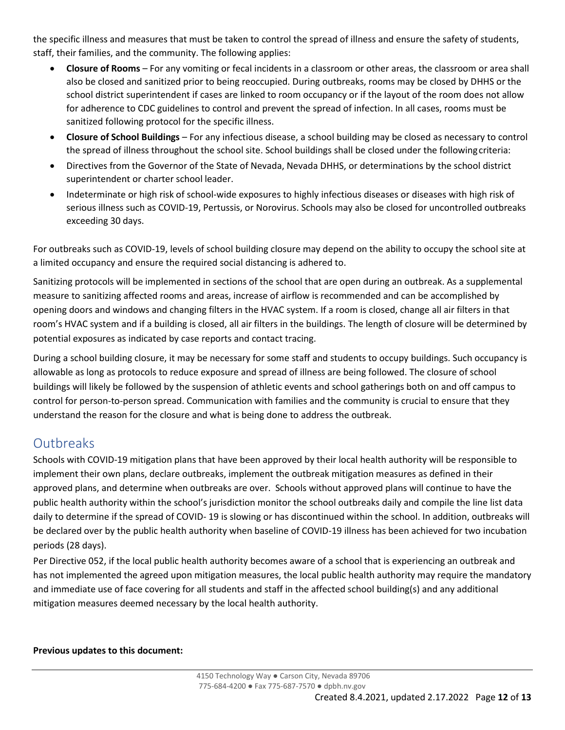the specific illness and measures that must be taken to control the spread of illness and ensure the safety of students, staff, their families, and the community. The following applies:

- **Closure of Rooms**  For any vomiting or fecal incidents in a classroom or other areas, the classroom or area shall also be closed and sanitized prior to being reoccupied. During outbreaks, rooms may be closed by DHHS or the school district superintendent if cases are linked to room occupancy or if the layout of the room does not allow for adherence to CDC guidelines to control and prevent the spread of infection. In all cases, rooms must be sanitized following protocol for the specific illness.
- **Closure of School Buildings**  For any infectious disease, a school building may be closed as necessary to control the spread of illness throughout the school site. School buildings shall be closed under the followingcriteria:
- Directives from the Governor of the State of Nevada, Nevada DHHS, or determinations by the school district superintendent or charter school leader.
- Indeterminate or high risk of school-wide exposures to highly infectious diseases or diseases with high risk of serious illness such as COVID-19, Pertussis, or Norovirus. Schools may also be closed for uncontrolled outbreaks exceeding 30 days.

For outbreaks such as COVID-19, levels of school building closure may depend on the ability to occupy the school site at a limited occupancy and ensure the required social distancing is adhered to.

Sanitizing protocols will be implemented in sections of the school that are open during an outbreak. As a supplemental measure to sanitizing affected rooms and areas, increase of airflow is recommended and can be accomplished by opening doors and windows and changing filters in the HVAC system. If a room is closed, change all air filters in that room's HVAC system and if a building is closed, all air filters in the buildings. The length of closure will be determined by potential exposures as indicated by case reports and contact tracing.

During a school building closure, it may be necessary for some staff and students to occupy buildings. Such occupancy is allowable as long as protocols to reduce exposure and spread of illness are being followed. The closure of school buildings will likely be followed by the suspension of athletic events and school gatherings both on and off campus to control for person-to-person spread. Communication with families and the community is crucial to ensure that they understand the reason for the closure and what is being done to address the outbreak.

## **Outbreaks**

Schools with COVID-19 mitigation plans that have been approved by their local health authority will be responsible to implement their own plans, declare outbreaks, implement the outbreak mitigation measures as defined in their approved plans, and determine when outbreaks are over. Schools without approved plans will continue to have the public health authority within the school's jurisdiction monitor the school outbreaks daily and compile the line list data daily to determine if the spread of COVID- 19 is slowing or has discontinued within the school. In addition, outbreaks will be declared over by the public health authority when baseline of COVID-19 illness has been achieved for two incubation periods (28 days).

Per Directive 052, if the local public health authority becomes aware of a school that is experiencing an outbreak and has not implemented the agreed upon mitigation measures, the local public health authority may require the mandatory and immediate use of face covering for all students and staff in the affected school building(s) and any additional mitigation measures deemed necessary by the local health authority.

**Previous updates to this document:**